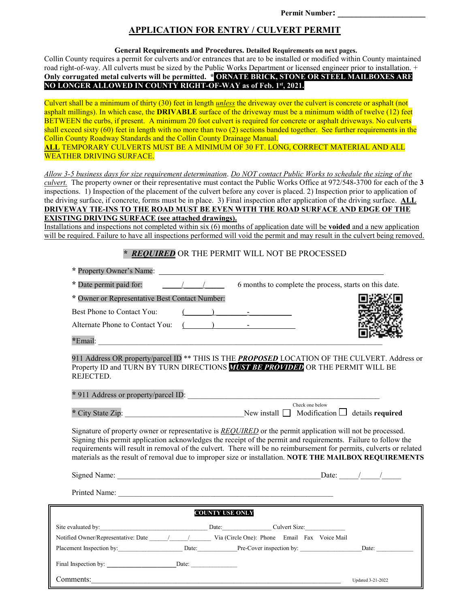### **APPLICATION FOR ENTRY / CULVERT PERMIT**

**General Requirements and Procedures. Detailed Requirements on next pages.** 

Collin County requires a permit for culverts and/or entrances that are to be installed or modified within County maintained road right-of-way. All culverts must be sized by the Public Works Department or licensed engineer prior to installation. + **Only corrugated metal culverts will be permitted. \* ORNATE BRICK, STONE OR STEEL MAILBOXES ARE NO LONGER ALLOWED IN COUNTY RIGHT-OF-WAY as of Feb. 1st, 2021.** 

Culvert shall be a minimum of thirty (30) feet in length *unless* the driveway over the culvert is concrete or asphalt (not asphalt millings). In which case, the **DRIVABLE** surface of the driveway must be a minimum width of twelve (12) feet BETWEEN the curbs, if present. A minimum 20 foot culvert is required for concrete or asphalt driveways. No culverts shall exceed sixty (60) feet in length with no more than two (2) sections banded together. See further requirements in the Collin County Roadway Standards and the Collin County Drainage Manual. **ALL** TEMPORARY CULVERTS MUST BE A MINIMUM OF 30 FT. LONG, CORRECT MATERIAL AND ALL

WEATHER DRIVING SURFACE.

j

*Allow 3-5 business days for size requirement determination*. *Do NOT contact Public Works to schedule the sizing of the culvert.* The property owner or their representative must contact the Public Works Office at 972/548-3700 for each of the **3** inspections. 1) Inspection of the placement of the culvert before any cover is placed. 2) Inspection prior to application of the driving surface, if concrete, forms must be in place. 3) Final inspection after application of the driving surface. **ALL DRIVEWAY TIE-INS TO THE ROAD MUST BE EVEN WITH THE ROAD SURFACE AND EDGE OF THE EXISTING DRIVING SURFACE (see attached drawings).**

Installations and inspections not completed within six (6) months of application date will be **voided** and a new application will be required. Failure to have all inspections performed will void the permit and may result in the culvert being removed.

## *\* REQUIRED* OR THE PERMIT WILL NOT BE PROCESSED

| * Property Owner's Name:                                                                                                                                                                                                                                                                                                                                                                                                                                             |                                                        |
|----------------------------------------------------------------------------------------------------------------------------------------------------------------------------------------------------------------------------------------------------------------------------------------------------------------------------------------------------------------------------------------------------------------------------------------------------------------------|--------------------------------------------------------|
| * Date permit paid for: $\frac{1}{\sqrt{1-\frac{1}{1-\frac{1}{1-\frac{1}{1-\frac{1}{1-\frac{1}{1-\frac{1}{1-\frac{1}{1-\frac{1}{1-\frac{1}{1-\frac{1}{1-\frac{1}{1-\frac{1}{1-\frac{1}{1-\frac{1}{1-\frac{1}{1-\frac{1}{1-\frac{1}{1-\frac{1}{1-\frac{1}{1-\frac{1}{1-\frac{1}{1-\frac{1}{1-\frac{1}{1-\frac{1}{1-\frac{1}{1-\frac{1}{1-\frac{1}{1-\frac{1}{1-\frac{1}{1-\frac{1}{1-\frac{1}{1-\$                                                                    | 6 months to complete the process, starts on this date. |
| * Owner or Representative Best Contact Number:                                                                                                                                                                                                                                                                                                                                                                                                                       |                                                        |
| Best Phone to Contact You:<br>$\left(\begin{array}{ccc} \begin{array}{ccc} \end{array}\\ \begin{array}{ccc} \end{array}\right) & \begin{array}{ccc} \end{array}$                                                                                                                                                                                                                                                                                                     |                                                        |
| Alternate Phone to Contact You: (2008)                                                                                                                                                                                                                                                                                                                                                                                                                               |                                                        |
|                                                                                                                                                                                                                                                                                                                                                                                                                                                                      |                                                        |
| 911 Address OR property/parcel ID <sup>**</sup> THIS IS THE <b>PROPOSED</b> LOCATION OF THE CULVERT. Address or<br>Property ID and TURN BY TURN DIRECTIONS <b>MUST BE PROVIDED</b> OR THE PERMIT WILL BE<br>REJECTED.<br>* 911 Address or property/parcel ID:                                                                                                                                                                                                        |                                                        |
|                                                                                                                                                                                                                                                                                                                                                                                                                                                                      | Check one below                                        |
|                                                                                                                                                                                                                                                                                                                                                                                                                                                                      |                                                        |
| Signature of property owner or representative is <b>REQUIRED</b> or the permit application will not be processed.<br>Signing this permit application acknowledges the receipt of the permit and requirements. Failure to follow the<br>requirements will result in removal of the culvert. There will be no reimbursement for permits, culverts or related<br>materials as the result of removal due to improper size or installation. NOTE THE MAILBOX REQUIREMENTS |                                                        |
|                                                                                                                                                                                                                                                                                                                                                                                                                                                                      |                                                        |
|                                                                                                                                                                                                                                                                                                                                                                                                                                                                      |                                                        |
| <b>COUNTY USE ONLY</b>                                                                                                                                                                                                                                                                                                                                                                                                                                               |                                                        |
|                                                                                                                                                                                                                                                                                                                                                                                                                                                                      |                                                        |
| Notified Owner/Representative: Date / / / Via (Circle One): Phone Email Fax Voice Mail                                                                                                                                                                                                                                                                                                                                                                               |                                                        |
| Placement Inspection by: Date: Date: Date: Pre-Cover inspection by: Date: Date:                                                                                                                                                                                                                                                                                                                                                                                      |                                                        |
| Final Inspection by: Date:                                                                                                                                                                                                                                                                                                                                                                                                                                           |                                                        |
| Comments:                                                                                                                                                                                                                                                                                                                                                                                                                                                            | Updated 3-21-2022                                      |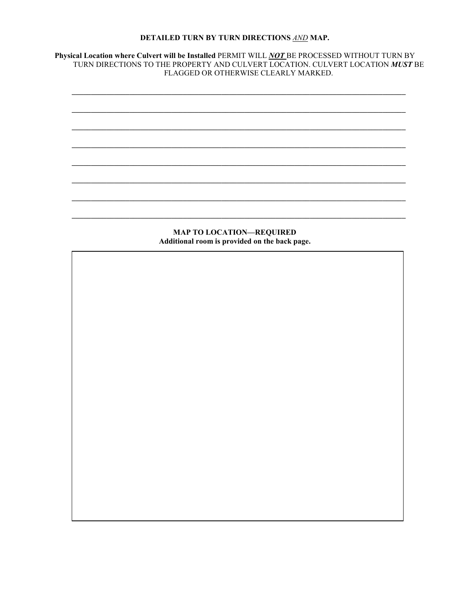## DETAILED TURN BY TURN DIRECTIONS AND MAP.

Physical Location where Culvert will be Installed PERMIT WILL NOT BE PROCESSED WITHOUT TURN BY<br>TURN DIRECTIONS TO THE PROPERTY AND CULVERT LOCATION. CULVERT LOCATION MUST BE FLAGGED OR OTHERWISE CLEARLY MARKED.



**MAP TO LOCATION-REQUIRED** Additional room is provided on the back page.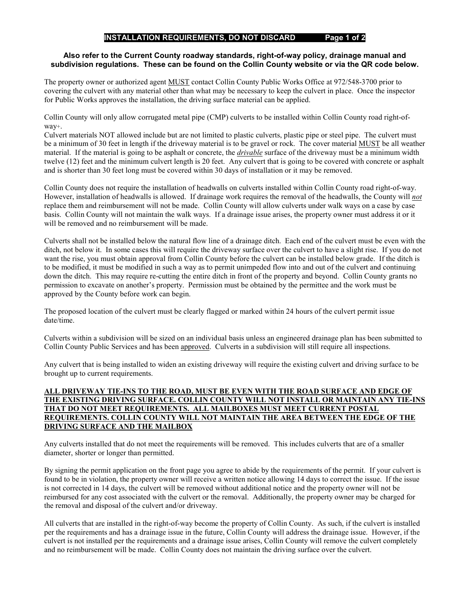#### **INSTALLATION REQUIREMENTS, DO NOT DISCARD Page 1 of 2**

#### **Also refer to the Current County roadway standards, right-of-way policy, drainage manual and subdivision regulations. These can be found on the Collin County website or via the QR code below.**

The property owner or authorized agent MUST contact Collin County Public Works Office at 972/548-3700 prior to covering the culvert with any material other than what may be necessary to keep the culvert in place. Once the inspector for Public Works approves the installation, the driving surface material can be applied.

Collin County will only allow corrugated metal pipe (CMP) culverts to be installed within Collin County road right-ofway+.

Culvert materials NOT allowed include but are not limited to plastic culverts, plastic pipe or steel pipe. The culvert must be a minimum of 30 feet in length if the driveway material is to be gravel or rock. The cover material MUST be all weather material. If the material is going to be asphalt or concrete, the *drivable* surface of the driveway must be a minimum width twelve (12) feet and the minimum culvert length is 20 feet. Any culvert that is going to be covered with concrete or asphalt and is shorter than 30 feet long must be covered within 30 days of installation or it may be removed.

Collin County does not require the installation of headwalls on culverts installed within Collin County road right-of-way. However, installation of headwalls is allowed. If drainage work requires the removal of the headwalls, the County will *not* replace them and reimbursement will not be made. Collin County will allow culverts under walk ways on a case by case basis. Collin County will not maintain the walk ways. If a drainage issue arises, the property owner must address it or it will be removed and no reimbursement will be made.

Culverts shall not be installed below the natural flow line of a drainage ditch. Each end of the culvert must be even with the ditch, not below it. In some cases this will require the driveway surface over the culvert to have a slight rise. If you do not want the rise, you must obtain approval from Collin County before the culvert can be installed below grade. If the ditch is to be modified, it must be modified in such a way as to permit unimpeded flow into and out of the culvert and continuing down the ditch. This may require re-cutting the entire ditch in front of the property and beyond. Collin County grants no permission to excavate on another's property. Permission must be obtained by the permittee and the work must be approved by the County before work can begin.

The proposed location of the culvert must be clearly flagged or marked within 24 hours of the culvert permit issue date/time.

Culverts within a subdivision will be sized on an individual basis unless an engineered drainage plan has been submitted to Collin County Public Services and has been approved. Culverts in a subdivision will still require all inspections.

Any culvert that is being installed to widen an existing driveway will require the existing culvert and driving surface to be brought up to current requirements.

#### **ALL DRIVEWAY TIE-INS TO THE ROAD, MUST BE EVEN WITH THE ROAD SURFACE AND EDGE OF THE EXISTING DRIVING SURFACE. COLLIN COUNTY WILL NOT INSTALL OR MAINTAIN ANY TIE-INS THAT DO NOT MEET REQUIREMENTS. ALL MAILBOXES MUST MEET CURRENT POSTAL REQUIREMENTS. COLLIN COUNTY WILL NOT MAINTAIN THE AREA BETWEEN THE EDGE OF THE DRIVING SURFACE AND THE MAILBOX**

Any culverts installed that do not meet the requirements will be removed. This includes culverts that are of a smaller diameter, shorter or longer than permitted.

By signing the permit application on the front page you agree to abide by the requirements of the permit. If your culvert is found to be in violation, the property owner will receive a written notice allowing 14 days to correct the issue. If the issue is not corrected in 14 days, the culvert will be removed without additional notice and the property owner will not be reimbursed for any cost associated with the culvert or the removal. Additionally, the property owner may be charged for the removal and disposal of the culvert and/or driveway.

All culverts that are installed in the right-of-way become the property of Collin County. As such, if the culvert is installed per the requirements and has a drainage issue in the future, Collin County will address the drainage issue. However, if the culvert is not installed per the requirements and a drainage issue arises, Collin County will remove the culvert completely and no reimbursement will be made. Collin County does not maintain the driving surface over the culvert.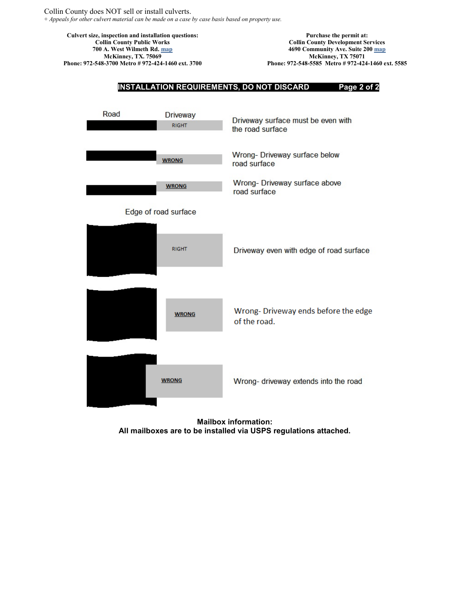**Culvert size, inspection and installation questions: Collin County Public Works 700 A. West Wilmeth Rd. [map](http://gismaps.collincountytx.gov/main.html?x=-96.6183676089&y=33.2302362815) McKinney, TX. 75069 Phone: 972-548-3700 Metro # 972-424-1460 ext. 3700**

**Purchase the permit at: Collin County Development Services 4690 Community Ave. Suite 200 [map](http://gismaps.collincountytx.gov/main.html?x=-96.6347811182&y=33.2488040444) McKinney, TX 75071 Phone: 972-548-5585 Metro # 972-424-1460 ext. 5585**



**Mailbox information: All mailboxes are to be installed via USPS regulations attached.**